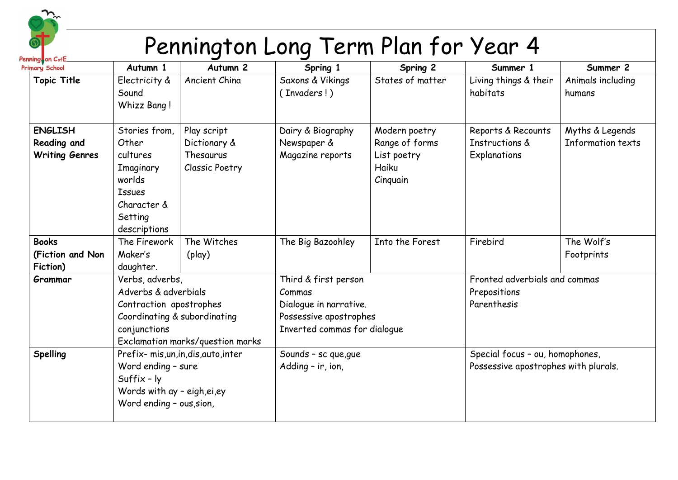

## Pennington Long Term Plan for Year 4

 $\mathbf{p}_t$ 

| <u>summy</u><br>rimary School                          | Autumn 1                                                                                                                                 | Autumn <sub>2</sub>                                               | Spring 1                                                                                                           | Spring 2                                                            | Summer 1                                                                | Summer 2                             |
|--------------------------------------------------------|------------------------------------------------------------------------------------------------------------------------------------------|-------------------------------------------------------------------|--------------------------------------------------------------------------------------------------------------------|---------------------------------------------------------------------|-------------------------------------------------------------------------|--------------------------------------|
| <b>Topic Title</b>                                     | Electricity &<br>Sound<br>Whizz Bang!                                                                                                    | Ancient China                                                     | Saxons & Vikings<br>(Invaders!)                                                                                    | States of matter                                                    | Living things & their<br>habitats                                       | Animals including<br>humans          |
| <b>ENGLISH</b><br>Reading and<br><b>Writing Genres</b> | Stories from,<br>Other<br>cultures<br>Imaginary<br>worlds<br><b>Issues</b><br>Character &<br>Setting<br>descriptions                     | Play script<br>Dictionary &<br>Thesaurus<br><b>Classic Poetry</b> | Dairy & Biography<br>Newspaper &<br>Magazine reports                                                               | Modern poetry<br>Range of forms<br>List poetry<br>Haiku<br>Cinquain | Reports & Recounts<br>Instructions &<br>Explanations                    | Myths & Legends<br>Information texts |
| <b>Books</b><br>(Fiction and Non<br>Fiction)           | The Firework<br>Maker's<br>daughter.                                                                                                     | The Witches<br>(play)                                             | The Big Bazoohley                                                                                                  | Into the Forest                                                     | Firebird                                                                | The Wolf's<br>Footprints             |
| Grammar                                                | Verbs, adverbs,<br>Adverbs & adverbials<br>Contraction apostrophes<br>Coordinating & subordinating<br>conjunctions                       | Exclamation marks/question marks                                  | Third & first person<br>Commas<br>Dialogue in narrative.<br>Possessive apostrophes<br>Inverted commas for dialogue |                                                                     | Fronted adverbials and commas<br>Prepositions<br>Parenthesis            |                                      |
| Spelling                                               | Prefix- mis, un, in, dis, auto, inter<br>Word ending - sure<br>$Suffix - ly$<br>Words with ay - eigh, ei, ey<br>Word ending - ous, sion, |                                                                   | Sounds - sc que, que<br>Adding - ir, ion,                                                                          |                                                                     | Special focus - ou, homophones,<br>Possessive apostrophes with plurals. |                                      |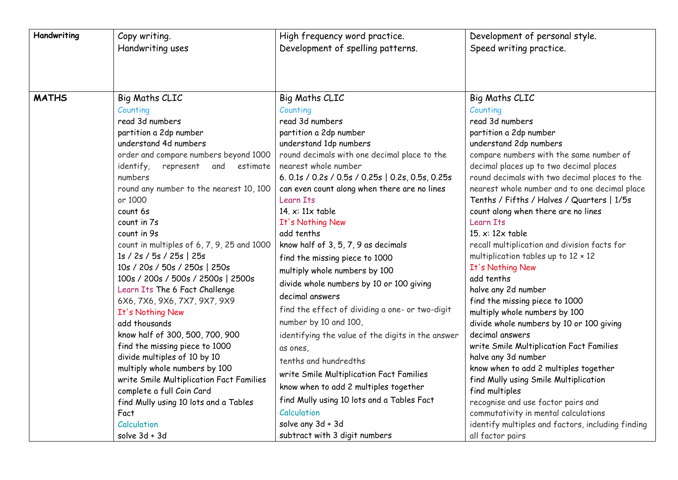| Handwriting  | Copy writing.                                                                                                                                                                                                                                                                                                                                                                                                                                                                                                                                                                                                                                                                                                                                                                                                                                                 | High frequency word practice.                                                                                                                                                                                                                                                                                                                                                                                                                                                                                                                                                                                                                                                                                                                                                                                                                                                                                    | Development of personal style.                                                                                                                                                                                                                                                                                                                                                                                                                                                                                                                                                                                                                                                                                                                                                                                                                                                                                                                                                                                                                  |
|--------------|---------------------------------------------------------------------------------------------------------------------------------------------------------------------------------------------------------------------------------------------------------------------------------------------------------------------------------------------------------------------------------------------------------------------------------------------------------------------------------------------------------------------------------------------------------------------------------------------------------------------------------------------------------------------------------------------------------------------------------------------------------------------------------------------------------------------------------------------------------------|------------------------------------------------------------------------------------------------------------------------------------------------------------------------------------------------------------------------------------------------------------------------------------------------------------------------------------------------------------------------------------------------------------------------------------------------------------------------------------------------------------------------------------------------------------------------------------------------------------------------------------------------------------------------------------------------------------------------------------------------------------------------------------------------------------------------------------------------------------------------------------------------------------------|-------------------------------------------------------------------------------------------------------------------------------------------------------------------------------------------------------------------------------------------------------------------------------------------------------------------------------------------------------------------------------------------------------------------------------------------------------------------------------------------------------------------------------------------------------------------------------------------------------------------------------------------------------------------------------------------------------------------------------------------------------------------------------------------------------------------------------------------------------------------------------------------------------------------------------------------------------------------------------------------------------------------------------------------------|
|              | Handwriting uses                                                                                                                                                                                                                                                                                                                                                                                                                                                                                                                                                                                                                                                                                                                                                                                                                                              | Development of spelling patterns.                                                                                                                                                                                                                                                                                                                                                                                                                                                                                                                                                                                                                                                                                                                                                                                                                                                                                | Speed writing practice.                                                                                                                                                                                                                                                                                                                                                                                                                                                                                                                                                                                                                                                                                                                                                                                                                                                                                                                                                                                                                         |
| <b>MATHS</b> | <b>Big Maths CLIC</b><br>Counting<br>read 3d numbers<br>partition a 2dp number<br>understand 4d numbers<br>order and compare numbers beyond 1000<br>represent<br>and estimate<br>identify,<br>numbers<br>round any number to the nearest 10, 100<br>or 1000<br>count 6s<br>count in 7s<br>count in 9s<br>count in multiples of 6, 7, 9, 25 and 1000<br>1s / 2s / 5s / 25s   25s<br>10s / 20s / 50s / 250s   250s<br>100s / 200s / 500s / 2500s   2500s<br>Learn Its The 6 Fact Challenge<br>6X6, 7X6, 9X6, 7X7, 9X7, 9X9<br>It's Nothing New<br>add thousands<br>know half of 300, 500, 700, 900<br>find the missing piece to 1000<br>divide multiples of 10 by 10<br>multiply whole numbers by 100<br>write Smile Multiplication Fact Families<br>complete a full Coin Card<br>find Mully using 10 lots and a Tables<br>Fact<br>Calculation<br>solve 3d + 3d | <b>Big Maths CLIC</b><br>Counting<br>read 3d numbers<br>partition a 2dp number<br>understand 1dp numbers<br>round decimals with one decimal place to the<br>nearest whole number<br>6.0.1s / 0.2s / 0.5s / 0.25s   0.2s, 0.5s, 0.25s<br>can even count along when there are no lines<br>Learn Its<br>14. $x: 11x$ table<br>It's Nothing New<br>add tenths<br>know half of 3, 5, 7, 9 as decimals<br>find the missing piece to 1000<br>multiply whole numbers by 100<br>divide whole numbers by 10 or 100 giving<br>decimal answers<br>find the effect of dividing a one- or two-digit<br>number by 10 and 100,<br>identifying the value of the digits in the answer<br>as ones,<br>tenths and hundredths<br>write Smile Multiplication Fact Families<br>know when to add 2 multiples together<br>find Mully using 10 lots and a Tables Fact<br>Calculation<br>solve any 3d + 3d<br>subtract with 3 digit numbers | <b>Big Maths CLIC</b><br>Counting<br>read 3d numbers<br>partition a 2dp number<br>understand 2dp numbers<br>compare numbers with the same number of<br>decimal places up to two decimal places<br>round decimals with two decimal places to the<br>nearest whole number and to one decimal place<br>Tenths / Fifths / Halves / Quarters   1/5s<br>count along when there are no lines<br>Learn Its<br>15. $x: 12x$ table<br>recall multiplication and division facts for<br>multiplication tables up to $12 \times 12$<br>It's Nothing New<br>add tenths<br>halve any 2d number<br>find the missing piece to 1000<br>multiply whole numbers by 100<br>divide whole numbers by 10 or 100 giving<br>decimal answers<br>write Smile Multiplication Fact Families<br>halve any 3d number<br>know when to add 2 multiples together<br>find Mully using Smile Multiplication<br>find multiples<br>recognise and use factor pairs and<br>commutativity in mental calculations<br>identify multiples and factors, including finding<br>all factor pairs |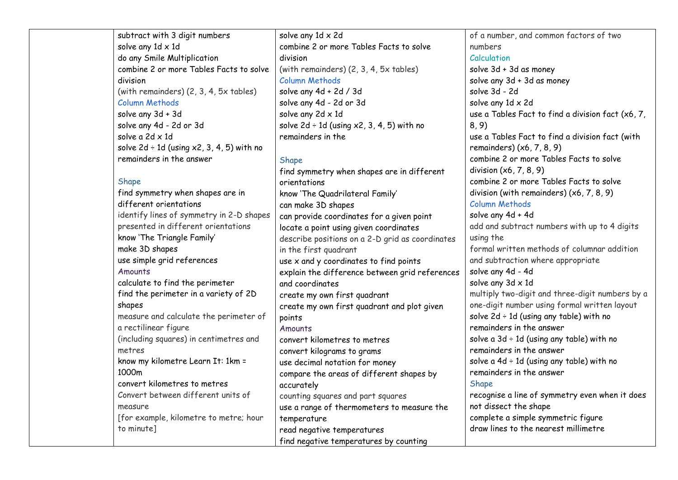subtract with 3 digit numbers solve any 1d x 1d [do any Smile Multiplication](https://bigcurriculum.com/framework/skills-step/239/13)  [combine 2 or more Tables Facts to solve](https://bigcurriculum.com/framework/skills-step/264/13)  [division](https://bigcurriculum.com/framework/skills-step/264/13)  (with remainders) (2, 3, 4, 5x tables) [Column Methods](https://bigcurriculum.com/framework/subject-section/5) [solve any 3d + 3d](https://bigcurriculum.com/framework/skills-step/284/13) 

[solve any 4d -](https://bigcurriculum.com/framework/skills-step/298/13) 2d or 3d [solve a 2d x 1d](https://bigcurriculum.com/framework/skills-step/305/13)  solve  $2d \div 1d$  (using  $x2, 3, 4, 5$ ) with no [remainders in the answer](https://bigcurriculum.com/framework/skills-step/317/13) 

## [Shape](https://bigcurriculum.com/framework/subject-section/17)

[find symmetry when shapes are in](https://bigcurriculum.com/framework/skills-step/396/13)  [different orientations](https://bigcurriculum.com/framework/skills-step/396/13)  identify lines of symmetry in 2-D shapes presented in different orientations [know 'The Triangle Family'](https://bigcurriculum.com/framework/skills-step/427/13)  [make 3D shapes](https://bigcurriculum.com/framework/skills-step/453/13)  [use simple grid references](https://bigcurriculum.com/framework/skills-step/478/13)  **[Amounts](https://bigcurriculum.com/framework/subject-section/19)** [calculate to find the perimeter](https://bigcurriculum.com/framework/skills-step/522/13)  [find the perimeter in a variety of 2D](https://bigcurriculum.com/framework/skills-step/523/13)  [shapes](https://bigcurriculum.com/framework/skills-step/523/13)  measure and calculate the perimeter of a rectilinear figure (including squares) in centimetres and metres [know my kilometre Learn It: 1km =](https://bigcurriculum.com/framework/skills-step/524/13)  [1000m](https://bigcurriculum.com/framework/skills-step/524/13)  [convert kilometres to metres](https://bigcurriculum.com/framework/skills-step/525/13)  Convert between different units of measure [for example, kilometre to metre; hour to minute]

solve any 1d x 2d [combine 2 or more Tables Facts to solve](https://bigcurriculum.com/framework/skills-step/264/14)  [division](https://bigcurriculum.com/framework/skills-step/264/14)  (with remainders) (2, 3, 4, 5x tables) Column [Methods](https://bigcurriculum.com/framework/subject-section/5) [solve any 4d + 2d / 3d](https://bigcurriculum.com/framework/skills-step/285/14)  [solve any 4d -](https://bigcurriculum.com/framework/skills-step/298/14) 2d or 3d [solve any 2d x 1d](https://bigcurriculum.com/framework/skills-step/306/14)  solve  $2d \div 1d$  (using  $x2$ , 3, 4, 5) with no [remainders in the](https://bigcurriculum.com/framework/skills-step/317/14) 

## **[Shape](https://bigcurriculum.com/framework/subject-section/17)**

[find symmetry when shapes are in different](https://bigcurriculum.com/framework/skills-step/396/14)  [orientations](https://bigcurriculum.com/framework/skills-step/396/14)  [know 'The Quadrilateral Family'](https://bigcurriculum.com/framework/skills-step/428/14)  [can make 3D shapes](https://bigcurriculum.com/framework/skills-step/453/14)  [can provide coordinates for a given point](https://bigcurriculum.com/framework/skills-step/479/14)  locate [a point using given coordinates](https://bigcurriculum.com/framework/skills-step/480/14)  describe positions on a 2-D grid as coordinates in the first quadrant [use x and y coordinates to find points](https://bigcurriculum.com/framework/skills-step/481/14)  [explain the difference between grid references](https://bigcurriculum.com/framework/skills-step/482/14)  [and coordinates](https://bigcurriculum.com/framework/skills-step/482/14)  [create my own first quadrant](https://bigcurriculum.com/framework/skills-step/483/14)  [create my own first quadrant and plot given](https://bigcurriculum.com/framework/skills-step/484/14)  [points](https://bigcurriculum.com/framework/skills-step/484/14)  [Amounts](https://bigcurriculum.com/framework/subject-section/19) [convert kilometres to metres](https://bigcurriculum.com/framework/skills-step/525/14)  [convert kilograms to grams](https://bigcurriculum.com/framework/skills-step/557/14)  [use decimal notation for money](https://bigcurriculum.com/framework/skills-step/576/14)  [compare the areas of different shapes by](https://bigcurriculum.com/framework/skills-step/599/14)  [accurately](https://bigcurriculum.com/framework/skills-step/599/14)  counting squares and part squares [use a range of thermometers to measure the](https://bigcurriculum.com/framework/skills-step/621/14)  [temperature](https://bigcurriculum.com/framework/skills-step/621/14)  [read negative temperatures](https://bigcurriculum.com/framework/skills-step/622/14)  [find negative temperatures by counting](https://bigcurriculum.com/framework/skills-step/623/14) 

of a number, and common factors of two numbers **[Calculation](https://bigcurriculum.com/framework/subject-section/4)** [solve 3d + 3d as money](https://bigcurriculum.com/framework/skills-step/178/15)  [solve any 3d + 3d as money](https://bigcurriculum.com/framework/skills-step/179/15)  [solve 3d -](https://bigcurriculum.com/framework/skills-step/219/15) 2d [solve any 1d x 2d](https://bigcurriculum.com/framework/skills-step/240/15)  [use a Tables Fact to find a division fact \(x6, 7,](https://bigcurriculum.com/framework/skills-step/265/15)  [8, 9\)](https://bigcurriculum.com/framework/skills-step/265/15)  [use a Tables Fact to find a division fact \(with](https://bigcurriculum.com/framework/skills-step/266/15)  [remainders\) \(x6, 7, 8, 9\)](https://bigcurriculum.com/framework/skills-step/266/15)  [combine 2 or more Tables Facts to solve](https://bigcurriculum.com/framework/skills-step/267/15) [division \(x6, 7, 8, 9\)](https://bigcurriculum.com/framework/skills-step/267/15)  [combine 2 or more Tables Facts to solve](https://bigcurriculum.com/framework/skills-step/268/15)  [division \(with remainders\) \(x6, 7, 8, 9\)](https://bigcurriculum.com/framework/skills-step/268/15)  [Column Methods](https://bigcurriculum.com/framework/subject-section/5) [solve any 4d + 4d](https://bigcurriculum.com/framework/skills-step/286/15)  add and subtract numbers with up to 4 digits using the formal written methods of columnar addition and subtraction where appropriate [solve any 4d -](https://bigcurriculum.com/framework/skills-step/299/15) 4d [solve any 3d x 1d](https://bigcurriculum.com/framework/skills-step/307/15)  multiply two-digit and three-digit numbers by a one-digit number using formal written layout solve  $2d \div 1d$  (using any table) with no [remainders in the answer](https://bigcurriculum.com/framework/skills-step/318/15)  solve a  $3d \div 1d$  (using any table) with no [remainders in the answer](https://bigcurriculum.com/framework/skills-step/319/15)  solve a  $4d \div 1d$  (using any table) with no [remainders in the answer](https://bigcurriculum.com/framework/skills-step/320/15)  [Shape](https://bigcurriculum.com/framework/subject-section/17) [recognise a line of symmetry even when it does](https://bigcurriculum.com/framework/skills-step/397/15)  [not dissect the shape](https://bigcurriculum.com/framework/skills-step/397/15)  complete a simple symmetric figure [draw lines to the nearest millimetre](https://bigcurriculum.com/framework/skills-step/398/15)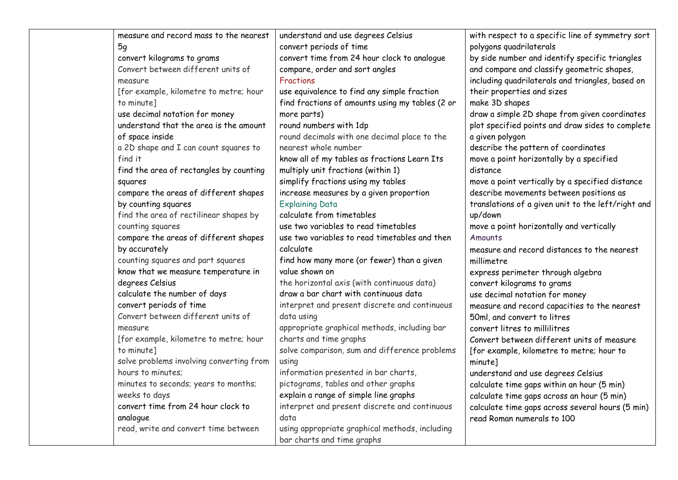| measure and record mass to the nearest   | understand and use degrees Celsius              | with respect to a specific line of symmetry sort   |
|------------------------------------------|-------------------------------------------------|----------------------------------------------------|
| 5g                                       | convert periods of time                         | polygons quadrilaterals                            |
| convert kilograms to grams               | convert time from 24 hour clock to analogue     | by side number and identify specific triangles     |
| Convert between different units of       | compare, order and sort angles                  | and compare and classify geometric shapes,         |
| measure                                  | <b>Fractions</b>                                | including quadrilaterals and triangles, based on   |
| [for example, kilometre to metre; hour   | use equivalence to find any simple fraction     | their properties and sizes                         |
| to minute]                               | find fractions of amounts using my tables (2 or | make 3D shapes                                     |
| use decimal notation for money           | more parts)                                     | draw a simple 2D shape from given coordinates      |
| understand that the area is the amount   | round numbers with 1dp                          | plot specified points and draw sides to complete   |
| of space inside                          | round decimals with one decimal place to the    | a given polygon                                    |
| a 2D shape and I can count squares to    | nearest whole number                            | describe the pattern of coordinates                |
| find it                                  | know all of my tables as fractions Learn Its    | move a point horizontally by a specified           |
| find the area of rectangles by counting  | multiply unit fractions (within 1)              | distance                                           |
| squares                                  | simplify fractions using my tables              | move a point vertically by a specified distance    |
| compare the areas of different shapes    | increase measures by a given proportion         | describe movements between positions as            |
| by counting squares                      | <b>Explaining Data</b>                          | translations of a given unit to the left/right and |
| find the area of rectilinear shapes by   | calculate from timetables                       | up/down                                            |
| counting squares                         | use two variables to read timetables            | move a point horizontally and vertically           |
| compare the areas of different shapes    | use two variables to read timetables and then   | Amounts                                            |
| by accurately                            | calculate                                       | measure and record distances to the nearest        |
| counting squares and part squares        | find how many more (or fewer) than a given      | millimetre                                         |
| know that we measure temperature in      | value shown on                                  | express perimeter through algebra                  |
| degrees Celsius                          | the horizontal axis (with continuous data)      | convert kilograms to grams                         |
| calculate the number of days             | draw a bar chart with continuous data           | use decimal notation for money                     |
| convert periods of time                  | interpret and present discrete and continuous   | measure and record capacities to the nearest       |
| Convert between different units of       | data using                                      | 50ml, and convert to litres                        |
| measure                                  | appropriate graphical methods, including bar    | convert litres to millilitres                      |
| [for example, kilometre to metre; hour   | charts and time graphs                          | Convert between different units of measure         |
| to minute]                               | solve comparison, sum and difference problems   | [for example, kilometre to metre; hour to          |
| solve problems involving converting from | using                                           | minute]                                            |
| hours to minutes;                        | information presented in bar charts,            | understand and use degrees Celsius                 |
| minutes to seconds; years to months;     | pictograms, tables and other graphs             | calculate time gaps within an hour (5 min)         |
| weeks to days                            | explain a range of simple line graphs           | calculate time gaps across an hour (5 min)         |
| convert time from 24 hour clock to       | interpret and present discrete and continuous   | calculate time gaps across several hours (5 min)   |
| analogue                                 | data                                            | read Roman numerals to 100                         |
| read, write and convert time between     | using appropriate graphical methods, including  |                                                    |
|                                          | bar charts and time graphs                      |                                                    |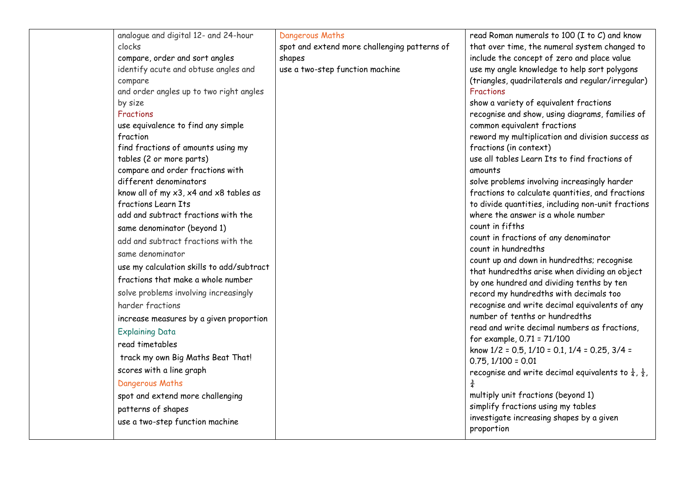| analogue and digital 12- and 24-hour                       | Dangerous Maths                              | read Roman numerals to 100 (I to C) and know                               |
|------------------------------------------------------------|----------------------------------------------|----------------------------------------------------------------------------|
| clocks                                                     | spot and extend more challenging patterns of | that over time, the numeral system changed to                              |
| compare, order and sort angles                             | shapes                                       | include the concept of zero and place value                                |
| identify acute and obtuse angles and                       | use a two-step function machine              | use my angle knowledge to help sort polygons                               |
| compare                                                    |                                              | (triangles, quadrilaterals and regular/irregular)                          |
| and order angles up to two right angles                    |                                              | Fractions                                                                  |
| by size                                                    |                                              | show a variety of equivalent fractions                                     |
| Fractions                                                  |                                              | recognise and show, using diagrams, families of                            |
| use equivalence to find any simple                         |                                              | common equivalent fractions                                                |
| fraction                                                   |                                              | reword my multiplication and division success as                           |
| find fractions of amounts using my                         |                                              | fractions (in context)                                                     |
| tables (2 or more parts)                                   |                                              | use all tables Learn Its to find fractions of                              |
| compare and order fractions with<br>different denominators |                                              | amounts<br>solve problems involving increasingly harder                    |
| know all of my x3, x4 and x8 tables as                     |                                              | fractions to calculate quantities, and fractions                           |
| fractions Learn Its                                        |                                              | to divide quantities, including non-unit fractions                         |
| add and subtract fractions with the                        |                                              | where the answer is a whole number                                         |
| same denominator (beyond 1)                                |                                              | count in fifths                                                            |
| add and subtract fractions with the                        |                                              | count in fractions of any denominator                                      |
|                                                            |                                              | count in hundredths                                                        |
| same denominator                                           |                                              | count up and down in hundredths; recognise                                 |
| use my calculation skills to add/subtract                  |                                              | that hundredths arise when dividing an object                              |
| fractions that make a whole number                         |                                              | by one hundred and dividing tenths by ten                                  |
| solve problems involving increasingly                      |                                              | record my hundredths with decimals too                                     |
| harder fractions                                           |                                              | recognise and write decimal equivalents of any                             |
| increase measures by a given proportion                    |                                              | number of tenths or hundredths                                             |
| <b>Explaining Data</b>                                     |                                              | read and write decimal numbers as fractions,                               |
| read timetables                                            |                                              | for example, 0.71 = 71/100                                                 |
| track my own Big Maths Beat That!                          |                                              | know $1/2 = 0.5$ , $1/10 = 0.1$ , $1/4 = 0.25$ , $3/4 =$                   |
|                                                            |                                              | $0.75, 1/100 = 0.01$                                                       |
| scores with a line graph                                   |                                              | recognise and write decimal equivalents to $\frac{1}{4}$ , $\frac{1}{2}$ , |
| Dangerous Maths                                            |                                              |                                                                            |
| spot and extend more challenging                           |                                              | multiply unit fractions (beyond 1)                                         |
| patterns of shapes                                         |                                              | simplify fractions using my tables                                         |
| use a two-step function machine                            |                                              | investigate increasing shapes by a given<br>proportion                     |
|                                                            |                                              |                                                                            |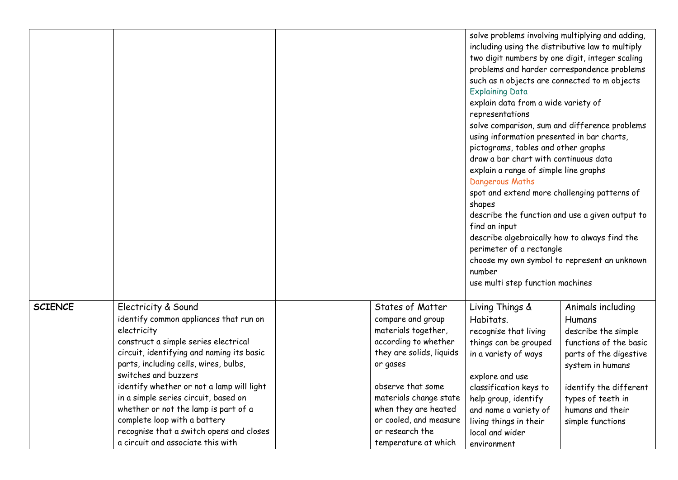|                |                                                                                                                                                                                                                                                                                                                                                                                                                                                                                  |                                                                                                                                                                                                                                                                          | solve problems involving multiplying and adding,<br>including using the distributive law to multiply<br><b>Explaining Data</b><br>explain data from a wide variety of<br>representations<br>pictograms, tables and other graphs<br>explain a range of simple line graphs<br>Dangerous Maths<br>shapes<br>find an input<br>perimeter of a rectangle<br>number<br>use multi step function machines | two digit numbers by one digit, integer scaling<br>problems and harder correspondence problems<br>such as n objects are connected to m objects<br>solve comparison, sum and difference problems<br>using information presented in bar charts,<br>draw a bar chart with continuous data<br>spot and extend more challenging patterns of<br>describe the function and use a given output to<br>describe algebraically how to always find the<br>choose my own symbol to represent an unknown |  |  |
|----------------|----------------------------------------------------------------------------------------------------------------------------------------------------------------------------------------------------------------------------------------------------------------------------------------------------------------------------------------------------------------------------------------------------------------------------------------------------------------------------------|--------------------------------------------------------------------------------------------------------------------------------------------------------------------------------------------------------------------------------------------------------------------------|--------------------------------------------------------------------------------------------------------------------------------------------------------------------------------------------------------------------------------------------------------------------------------------------------------------------------------------------------------------------------------------------------|--------------------------------------------------------------------------------------------------------------------------------------------------------------------------------------------------------------------------------------------------------------------------------------------------------------------------------------------------------------------------------------------------------------------------------------------------------------------------------------------|--|--|
| <b>SCIENCE</b> | Electricity & Sound<br>identify common appliances that run on<br>electricity<br>construct a simple series electrical<br>circuit, identifying and naming its basic<br>parts, including cells, wires, bulbs,<br>switches and buzzers<br>identify whether or not a lamp will light<br>in a simple series circuit, based on<br>whether or not the lamp is part of a<br>complete loop with a battery<br>recognise that a switch opens and closes<br>a circuit and associate this with | States of Matter<br>compare and group<br>materials together,<br>according to whether<br>they are solids, liquids<br>or gases<br>observe that some<br>materials change state<br>when they are heated<br>or cooled, and measure<br>or research the<br>temperature at which | Living Things &<br>Habitats.<br>recognise that living<br>things can be grouped<br>in a variety of ways<br>explore and use<br>classification keys to<br>help group, identify<br>and name a variety of<br>living things in their<br>local and wider<br>environment                                                                                                                                 | Animals including<br>Humans<br>describe the simple<br>functions of the basic<br>parts of the digestive<br>system in humans<br>identify the different<br>types of teeth in<br>humans and their<br>simple functions                                                                                                                                                                                                                                                                          |  |  |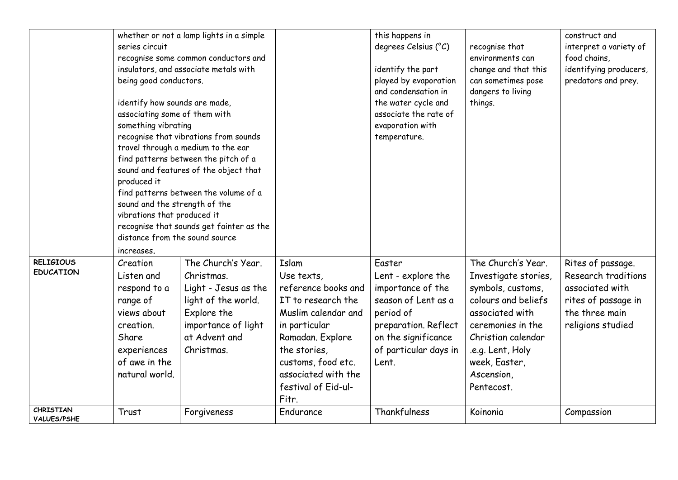|                                        |                                                                                                                                                                                                    | whether or not a lamp lights in a simple |                     | this happens in       |                                    | construct and                          |
|----------------------------------------|----------------------------------------------------------------------------------------------------------------------------------------------------------------------------------------------------|------------------------------------------|---------------------|-----------------------|------------------------------------|----------------------------------------|
|                                        |                                                                                                                                                                                                    |                                          |                     |                       |                                    |                                        |
|                                        | series circuit                                                                                                                                                                                     |                                          |                     | degrees Celsius (°C)  | recognise that<br>environments can | interpret a variety of<br>food chains, |
|                                        | recognise some common conductors and<br>insulators, and associate metals with                                                                                                                      |                                          |                     |                       |                                    |                                        |
|                                        |                                                                                                                                                                                                    |                                          |                     | identify the part     | change and that this               | identifying producers,                 |
|                                        | being good conductors.                                                                                                                                                                             |                                          |                     | played by evaporation | can sometimes pose                 | predators and prey.                    |
|                                        |                                                                                                                                                                                                    |                                          |                     | and condensation in   | dangers to living                  |                                        |
|                                        | identify how sounds are made,                                                                                                                                                                      |                                          |                     | the water cycle and   | things.                            |                                        |
|                                        | associating some of them with                                                                                                                                                                      |                                          |                     | associate the rate of |                                    |                                        |
|                                        | something vibrating                                                                                                                                                                                |                                          |                     | evaporation with      |                                    |                                        |
|                                        |                                                                                                                                                                                                    | recognise that vibrations from sounds    |                     | temperature.          |                                    |                                        |
|                                        |                                                                                                                                                                                                    | travel through a medium to the ear       |                     |                       |                                    |                                        |
|                                        |                                                                                                                                                                                                    | find patterns between the pitch of a     |                     |                       |                                    |                                        |
|                                        |                                                                                                                                                                                                    | sound and features of the object that    |                     |                       |                                    |                                        |
|                                        | produced it<br>find patterns between the volume of a<br>sound and the strength of the<br>vibrations that produced it<br>recognise that sounds get fainter as the<br>distance from the sound source |                                          |                     |                       |                                    |                                        |
|                                        |                                                                                                                                                                                                    |                                          |                     |                       |                                    |                                        |
|                                        |                                                                                                                                                                                                    |                                          |                     |                       |                                    |                                        |
|                                        |                                                                                                                                                                                                    |                                          |                     |                       |                                    |                                        |
|                                        |                                                                                                                                                                                                    |                                          |                     |                       |                                    |                                        |
|                                        |                                                                                                                                                                                                    |                                          |                     |                       |                                    |                                        |
|                                        | increases.                                                                                                                                                                                         |                                          |                     |                       |                                    |                                        |
| <b>RELIGIOUS</b>                       | Creation                                                                                                                                                                                           | The Church's Year.                       | Islam               | Easter                | The Church's Year.                 | Rites of passage.                      |
| <b>EDUCATION</b>                       | Listen and                                                                                                                                                                                         | Christmas.                               | Use texts,          | Lent - explore the    | Investigate stories,               | Research traditions                    |
|                                        | respond to a                                                                                                                                                                                       | Light - Jesus as the                     | reference books and | importance of the     | symbols, customs,                  | associated with                        |
|                                        |                                                                                                                                                                                                    |                                          |                     | season of Lent as a   | colours and beliefs                |                                        |
|                                        | range of                                                                                                                                                                                           | light of the world.                      | IT to research the  |                       |                                    | rites of passage in                    |
|                                        | views about                                                                                                                                                                                        | Explore the                              | Muslim calendar and | period of             | associated with                    | the three main                         |
|                                        | creation.                                                                                                                                                                                          | importance of light                      | in particular       | preparation. Reflect  | ceremonies in the                  | religions studied                      |
|                                        | Share                                                                                                                                                                                              | at Advent and                            | Ramadan. Explore    | on the significance   | Christian calendar                 |                                        |
|                                        | experiences                                                                                                                                                                                        | Christmas.                               | the stories,        | of particular days in | .e.g. Lent, Holy                   |                                        |
|                                        | of awe in the                                                                                                                                                                                      |                                          | customs, food etc.  | Lent.                 | week, Easter,                      |                                        |
|                                        | natural world.                                                                                                                                                                                     |                                          | associated with the |                       | Ascension,                         |                                        |
|                                        |                                                                                                                                                                                                    |                                          | festival of Eid-ul- |                       | Pentecost.                         |                                        |
|                                        |                                                                                                                                                                                                    |                                          |                     |                       |                                    |                                        |
|                                        |                                                                                                                                                                                                    |                                          | Fitr.               |                       |                                    |                                        |
| <b>CHRISTIAN</b><br><b>VALUES/PSHE</b> | Trust                                                                                                                                                                                              | Forgiveness                              | Endurance           | Thankfulness          | Koinonia                           | Compassion                             |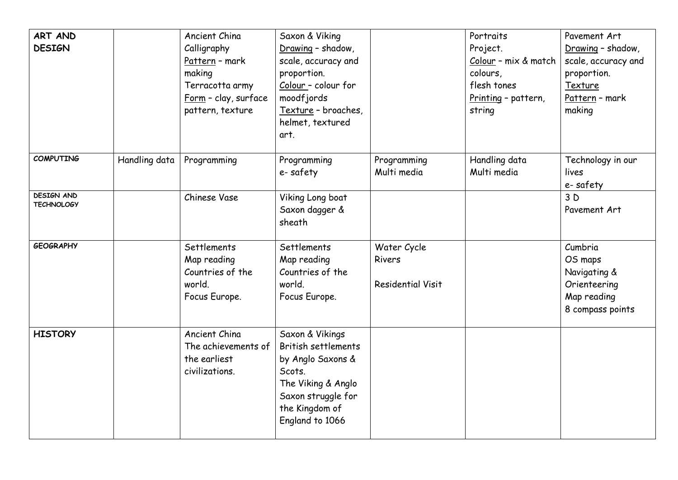| ART AND<br><b>DESIGN</b>               |               | Ancient China<br>Calligraphy<br>Pattern - mark<br>making<br>Terracotta army<br><u>Form</u> - clay, surface<br>pattern, texture | Saxon & Viking<br>Drawing - shadow,<br>scale, accuracy and<br>proportion.<br>Colour - colour for<br>moodfjords<br>Texture - broaches,<br>helmet, textured<br>art. |                                                   | Portraits<br>Project.<br>Colour - mix & match<br>colours,<br>flesh tones<br>Printing - pattern,<br>string | Pavement Art<br>Drawing - shadow,<br>scale, accuracy and<br>proportion.<br>Texture<br>Pattern - mark<br>making |
|----------------------------------------|---------------|--------------------------------------------------------------------------------------------------------------------------------|-------------------------------------------------------------------------------------------------------------------------------------------------------------------|---------------------------------------------------|-----------------------------------------------------------------------------------------------------------|----------------------------------------------------------------------------------------------------------------|
| <b>COMPUTING</b>                       | Handling data | Programming                                                                                                                    | Programming<br>e-safety                                                                                                                                           | Programming<br>Multi media                        | Handling data<br>Multi media                                                                              | Technology in our<br>lives<br>e-safety                                                                         |
| <b>DESIGN AND</b><br><b>TECHNOLOGY</b> |               | Chinese Vase                                                                                                                   | Viking Long boat<br>Saxon dagger &<br>sheath                                                                                                                      |                                                   |                                                                                                           | 3D<br>Pavement Art                                                                                             |
| <b>GEOGRAPHY</b>                       |               | Settlements<br>Map reading<br>Countries of the<br>world.<br>Focus Europe.                                                      | Settlements<br>Map reading<br>Countries of the<br>world.<br>Focus Europe.                                                                                         | Water Cycle<br>Rivers<br><b>Residential Visit</b> |                                                                                                           | Cumbria<br>OS maps<br>Navigating &<br>Orienteering<br>Map reading<br>8 compass points                          |
| <b>HISTORY</b>                         |               | Ancient China<br>The achievements of<br>the earliest<br>civilizations.                                                         | Saxon & Vikings<br>British settlements<br>by Anglo Saxons &<br>Scots.<br>The Viking & Anglo<br>Saxon struggle for<br>the Kingdom of<br>England to 1066            |                                                   |                                                                                                           |                                                                                                                |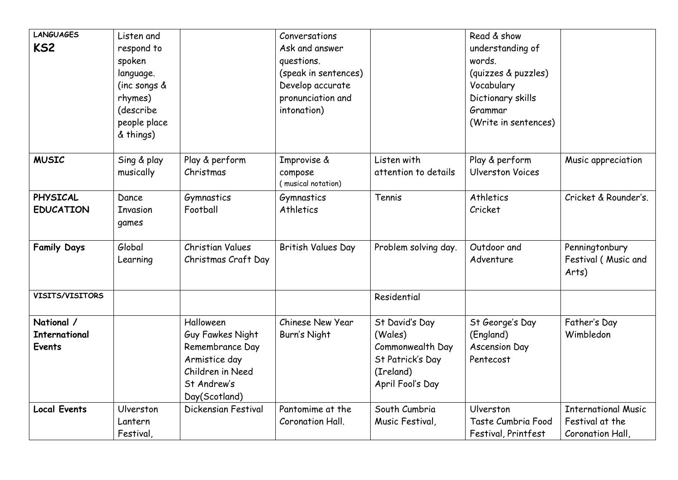| <b>LANGUAGES</b>     | Listen and                |                                      | Conversations                            |                      | Read & show                       |                            |
|----------------------|---------------------------|--------------------------------------|------------------------------------------|----------------------|-----------------------------------|----------------------------|
| KS <sub>2</sub>      | respond to                |                                      | Ask and answer                           |                      | understanding of                  |                            |
|                      | spoken                    |                                      | questions.                               |                      | words.                            |                            |
|                      | language.<br>(inc songs & |                                      | (speak in sentences)<br>Develop accurate |                      | (quizzes & puzzles)<br>Vocabulary |                            |
|                      | rhymes)                   |                                      | pronunciation and                        |                      | Dictionary skills                 |                            |
|                      | (describe                 |                                      | intonation)                              |                      | Grammar                           |                            |
|                      | people place              |                                      |                                          |                      | (Write in sentences)              |                            |
|                      | & things)                 |                                      |                                          |                      |                                   |                            |
|                      |                           |                                      |                                          |                      |                                   |                            |
| <b>MUSIC</b>         | Sing & play               | Play & perform                       | Improvise &                              | Listen with          | Play & perform                    | Music appreciation         |
|                      | musically                 | Christmas                            | compose<br>(musical notation)            | attention to details | <b>Ulverston Voices</b>           |                            |
| PHYSICAL             | Dance                     | Gymnastics                           | Gymnastics                               | Tennis               | <b>Athletics</b>                  | Cricket & Rounder's.       |
| <b>EDUCATION</b>     | Invasion                  | Football                             | Athletics                                |                      | Cricket                           |                            |
|                      | games                     |                                      |                                          |                      |                                   |                            |
|                      |                           |                                      |                                          |                      |                                   |                            |
| <b>Family Days</b>   | Global                    | <b>Christian Values</b>              | British Values Day                       | Problem solving day. | Outdoor and                       | Penningtonbury             |
|                      | Learning                  | Christmas Craft Day                  |                                          |                      | Adventure                         | Festival (Music and        |
|                      |                           |                                      |                                          |                      |                                   | Arts)                      |
| VISITS/VISITORS      |                           |                                      |                                          | Residential          |                                   |                            |
|                      |                           |                                      |                                          |                      |                                   |                            |
| National /           |                           | Halloween                            | Chinese New Year                         | St David's Day       | St George's Day                   | Father's Day               |
| <b>International</b> |                           | Guy Fawkes Night                     | Burn's Night                             | (Wales)              | (England)                         | Wimbledon                  |
| <b>Events</b>        |                           | Remembrance Day                      |                                          | Commonwealth Day     | <b>Ascension Day</b>              |                            |
|                      |                           | Armistice day                        |                                          | St Patrick's Day     | Pentecost                         |                            |
|                      |                           | Children in Need                     |                                          | (Ireland)            |                                   |                            |
|                      |                           | St Andrew's                          |                                          | April Fool's Day     |                                   |                            |
| <b>Local Events</b>  | Ulverston                 | Day(Scotland)<br>Dickensian Festival | Pantomime at the                         | South Cumbria        | Ulverston                         | <b>International Music</b> |
|                      | Lantern                   |                                      | Coronation Hall.                         | Music Festival,      | Taste Cumbria Food                | Festival at the            |
|                      | Festival,                 |                                      |                                          |                      | Festival, Printfest               | Coronation Hall,           |